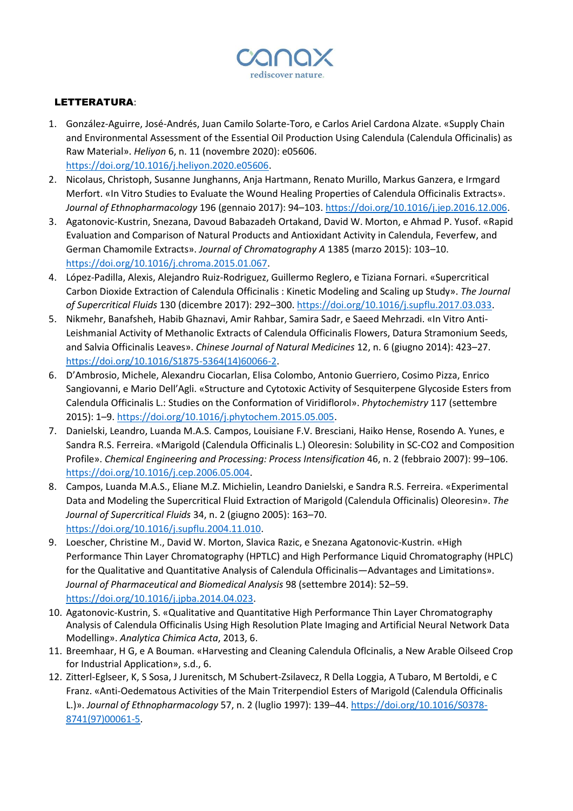

## LETTERATURA:

- 1. González-Aguirre, José-Andrés, Juan Camilo Solarte-Toro, e Carlos Ariel Cardona Alzate. «Supply Chain and Environmental Assessment of the Essential Oil Production Using Calendula (Calendula Officinalis) as Raw Material». *Heliyon* 6, n. 11 (novembre 2020): e05606. [https://doi.org/10.1016/j.heliyon.2020.e05606.](https://doi.org/10.1016/j.heliyon.2020.e05606)
- 2. Nicolaus, Christoph, Susanne Junghanns, Anja Hartmann, Renato Murillo, Markus Ganzera, e Irmgard Merfort. «In Vitro Studies to Evaluate the Wound Healing Properties of Calendula Officinalis Extracts». *Journal of Ethnopharmacology* 196 (gennaio 2017): 94–103. [https://doi.org/10.1016/j.jep.2016.12.006.](https://doi.org/10.1016/j.jep.2016.12.006)
- 3. Agatonovic-Kustrin, Snezana, Davoud Babazadeh Ortakand, David W. Morton, e Ahmad P. Yusof. «Rapid Evaluation and Comparison of Natural Products and Antioxidant Activity in Calendula, Feverfew, and German Chamomile Extracts». *Journal of Chromatography A* 1385 (marzo 2015): 103–10. [https://doi.org/10.1016/j.chroma.2015.01.067.](https://doi.org/10.1016/j.chroma.2015.01.067)
- 4. López-Padilla, Alexis, Alejandro Ruiz-Rodriguez, Guillermo Reglero, e Tiziana Fornari. «Supercritical Carbon Dioxide Extraction of Calendula Officinalis : Kinetic Modeling and Scaling up Study». *The Journal of Supercritical Fluids* 130 (dicembre 2017): 292–300[. https://doi.org/10.1016/j.supflu.2017.03.033.](https://doi.org/10.1016/j.supflu.2017.03.033)
- 5. Nikmehr, Banafsheh, Habib Ghaznavi, Amir Rahbar, Samira Sadr, e Saeed Mehrzadi. «In Vitro Anti-Leishmanial Activity of Methanolic Extracts of Calendula Officinalis Flowers, Datura Stramonium Seeds, and Salvia Officinalis Leaves». *Chinese Journal of Natural Medicines* 12, n. 6 (giugno 2014): 423–27. [https://doi.org/10.1016/S1875-5364\(14\)60066-2.](https://doi.org/10.1016/S1875-5364(14)60066-2)
- 6. D'Ambrosio, Michele, Alexandru Ciocarlan, Elisa Colombo, Antonio Guerriero, Cosimo Pizza, Enrico Sangiovanni, e Mario Dell'Agli. «Structure and Cytotoxic Activity of Sesquiterpene Glycoside Esters from Calendula Officinalis L.: Studies on the Conformation of Viridiflorol». *Phytochemistry* 117 (settembre 2015): 1–9[. https://doi.org/10.1016/j.phytochem.2015.05.005.](https://doi.org/10.1016/j.phytochem.2015.05.005)
- 7. Danielski, Leandro, Luanda M.A.S. Campos, Louisiane F.V. Bresciani, Haiko Hense, Rosendo A. Yunes, e Sandra R.S. Ferreira. «Marigold (Calendula Officinalis L.) Oleoresin: Solubility in SC-CO2 and Composition Profile». *Chemical Engineering and Processing: Process Intensification* 46, n. 2 (febbraio 2007): 99–106. [https://doi.org/10.1016/j.cep.2006.05.004.](https://doi.org/10.1016/j.cep.2006.05.004)
- 8. Campos, Luanda M.A.S., Eliane M.Z. Michielin, Leandro Danielski, e Sandra R.S. Ferreira. «Experimental Data and Modeling the Supercritical Fluid Extraction of Marigold (Calendula Officinalis) Oleoresin». *The Journal of Supercritical Fluids* 34, n. 2 (giugno 2005): 163–70. [https://doi.org/10.1016/j.supflu.2004.11.010.](https://doi.org/10.1016/j.supflu.2004.11.010)
- 9. Loescher, Christine M., David W. Morton, Slavica Razic, e Snezana Agatonovic-Kustrin. «High Performance Thin Layer Chromatography (HPTLC) and High Performance Liquid Chromatography (HPLC) for the Qualitative and Quantitative Analysis of Calendula Officinalis—Advantages and Limitations». *Journal of Pharmaceutical and Biomedical Analysis* 98 (settembre 2014): 52–59. [https://doi.org/10.1016/j.jpba.2014.04.023.](https://doi.org/10.1016/j.jpba.2014.04.023)
- 10. Agatonovic-Kustrin, S. «Qualitative and Quantitative High Performance Thin Layer Chromatography Analysis of Calendula Officinalis Using High Resolution Plate Imaging and Artificial Neural Network Data Modelling». *Analytica Chimica Acta*, 2013, 6.
- 11. Breemhaar, H G, e A Bouman. «Harvesting and Cleaning Calendula Oflcinalis, a New Arable Oilseed Crop for Industrial Application», s.d., 6.
- 12. Zitterl-Eglseer, K, S Sosa, J Jurenitsch, M Schubert-Zsilavecz, R Della Loggia, A Tubaro, M Bertoldi, e C Franz. «Anti-Oedematous Activities of the Main Triterpendiol Esters of Marigold (Calendula Officinalis L.)». *Journal of Ethnopharmacology* 57, n. 2 (luglio 1997): 139–44[. https://doi.org/10.1016/S0378-](https://doi.org/10.1016/S0378-8741(97)00061-5) [8741\(97\)00061-5.](https://doi.org/10.1016/S0378-8741(97)00061-5)